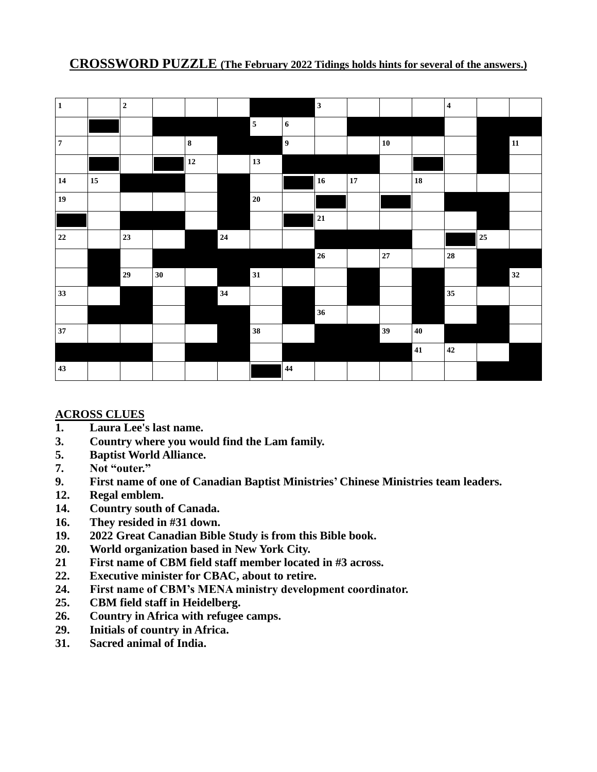### **CROSSWORD PUZZLE (The February 2022 Tidings holds hints for several of the answers.)**

| $\mathbf 1$ |    | $\mathbf 2$ |    |           |            |                         |                  | $\overline{\mathbf{3}}$ |    |            |            | $\overline{\mathbf{4}}$ |    |            |
|-------------|----|-------------|----|-----------|------------|-------------------------|------------------|-------------------------|----|------------|------------|-------------------------|----|------------|
|             |    |             |    |           |            | $\overline{\mathbf{5}}$ | $\boldsymbol{6}$ |                         |    |            |            |                         |    |            |
| $\pmb{7}$   |    |             |    | $\bf 8$   |            |                         | $\overline{9}$   |                         |    | ${\bf 10}$ |            |                         |    | ${\bf 11}$ |
|             |    |             |    | $\bf{12}$ |            | 13                      |                  |                         |    |            |            |                         |    |            |
| ${\bf 14}$  | 15 |             |    |           |            |                         |                  | $\vert$ 16              | 17 |            | ${\bf 18}$ |                         |    |            |
| 19          |    |             |    |           |            | $20\,$                  |                  |                         |    |            |            |                         |    |            |
|             |    |             |    |           |            |                         |                  | 21                      |    |            |            |                         |    |            |
| $\bf{22}$   |    | 23          |    |           | ${\bf 24}$ |                         |                  |                         |    |            |            |                         | 25 |            |
|             |    |             |    |           |            |                         |                  | $26\phantom{.}$         |    | $\bf 27$   |            | ${\bf 28}$              |    |            |
|             |    | 29          | 30 |           |            | 31                      |                  |                         |    |            |            |                         |    | 32         |
| 33          |    |             |    |           | 34         |                         |                  |                         |    |            |            | 35                      |    |            |
|             |    |             |    |           |            |                         |                  | 36                      |    |            |            |                         |    |            |
| 37          |    |             |    |           |            | 38                      |                  |                         |    | 39         | $40\,$     |                         |    |            |
|             |    |             |    |           |            |                         |                  |                         |    |            | 41         | 42                      |    |            |
| 43          |    |             |    |           |            |                         | $\bf 44$         |                         |    |            |            |                         |    |            |

#### **ACROSS CLUES**

- **1. Laura Lee's last name.**
- **3. Country where you would find the Lam family.**
- **5. Baptist World Alliance.**
- **7. Not "outer."**
- **9. First name of one of Canadian Baptist Ministries' Chinese Ministries team leaders.**
- **12. Regal emblem.**
- **14. Country south of Canada.**
- **16. They resided in #31 down.**
- **19. 2022 Great Canadian Bible Study is from this Bible book.**
- **20. World organization based in New York City.**
- **21 First name of CBM field staff member located in #3 across.**
- **22. Executive minister for CBAC, about to retire.**
- **24. First name of CBM's MENA ministry development coordinator.**
- **25. CBM field staff in Heidelberg.**
- **26. Country in Africa with refugee camps.**
- **29. Initials of country in Africa.**
- **31. Sacred animal of India.**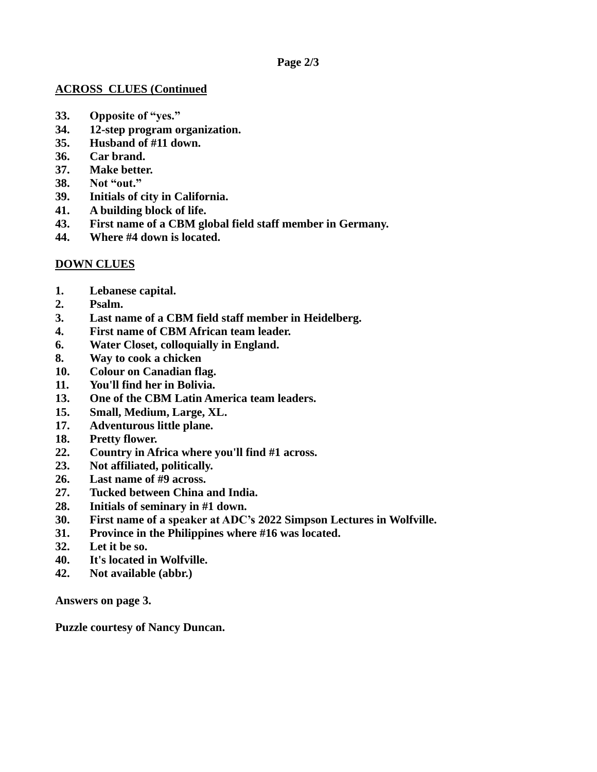#### **ACROSS CLUES (Continued**

- **33. Opposite of "yes."**
- **34. 12-step program organization.**
- **35. Husband of #11 down.**
- **36. Car brand.**
- **37. Make better.**
- **38. Not "out."**
- **39. Initials of city in California.**
- **41. A building block of life.**
- **43. First name of a CBM global field staff member in Germany.**
- **44. Where #4 down is located.**

### **DOWN CLUES**

- **1. Lebanese capital.**
- **2. Psalm.**
- **3. Last name of a CBM field staff member in Heidelberg.**
- **4. First name of CBM African team leader.**
- **6. Water Closet, colloquially in England.**
- **8. Way to cook a chicken**
- **10. Colour on Canadian flag.**
- **11. You'll find her in Bolivia.**
- **13. One of the CBM Latin America team leaders.**
- **15. Small, Medium, Large, XL.**
- **17. Adventurous little plane.**
- **18. Pretty flower.**
- **22. Country in Africa where you'll find #1 across.**
- **23. Not affiliated, politically.**
- **26. Last name of #9 across.**
- **27. Tucked between China and India.**
- **28. Initials of seminary in #1 down.**
- **30. First name of a speaker at ADC's 2022 Simpson Lectures in Wolfville.**
- **31. Province in the Philippines where #16 was located.**
- **32. Let it be so.**
- **40. It's located in Wolfville.**
- **42. Not available (abbr.)**

**Answers on page 3.**

**Puzzle courtesy of Nancy Duncan.**